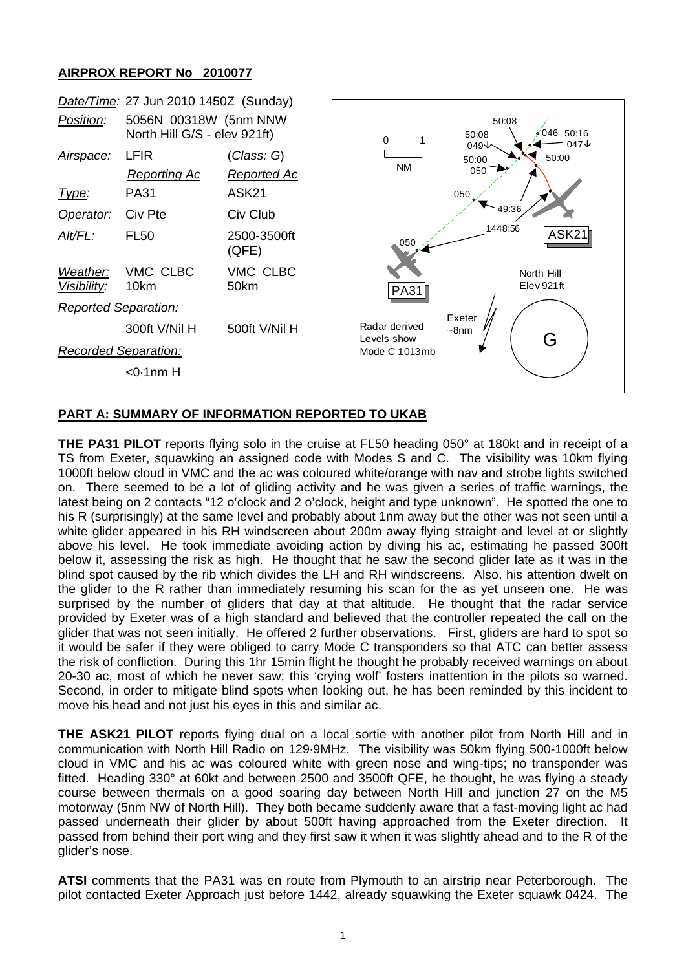## **AIRPROX REPORT No 2010077**



## **PART A: SUMMARY OF INFORMATION REPORTED TO UKAB**

**THE PA31 PILOT** reports flying solo in the cruise at FL50 heading 050° at 180kt and in receipt of a TS from Exeter, squawking an assigned code with Modes S and C. The visibility was 10km flying 1000ft below cloud in VMC and the ac was coloured white/orange with nav and strobe lights switched on. There seemed to be a lot of gliding activity and he was given a series of traffic warnings, the latest being on 2 contacts "12 o'clock and 2 o'clock, height and type unknown". He spotted the one to his R (surprisingly) at the same level and probably about 1nm away but the other was not seen until a white glider appeared in his RH windscreen about 200m away flying straight and level at or slightly above his level. He took immediate avoiding action by diving his ac, estimating he passed 300ft below it, assessing the risk as high. He thought that he saw the second glider late as it was in the blind spot caused by the rib which divides the LH and RH windscreens. Also, his attention dwelt on the glider to the R rather than immediately resuming his scan for the as yet unseen one. He was surprised by the number of gliders that day at that altitude. He thought that the radar service provided by Exeter was of a high standard and believed that the controller repeated the call on the glider that was not seen initially. He offered 2 further observations. First, gliders are hard to spot so it would be safer if they were obliged to carry Mode C transponders so that ATC can better assess the risk of confliction. During this 1hr 15min flight he thought he probably received warnings on about 20-30 ac, most of which he never saw; this 'crying wolf' fosters inattention in the pilots so warned. Second, in order to mitigate blind spots when looking out, he has been reminded by this incident to move his head and not just his eyes in this and similar ac.

**THE ASK21 PILOT** reports flying dual on a local sortie with another pilot from North Hill and in communication with North Hill Radio on 129·9MHz. The visibility was 50km flying 500-1000ft below cloud in VMC and his ac was coloured white with green nose and wing-tips; no transponder was fitted. Heading 330° at 60kt and between 2500 and 3500ft QFE, he thought, he was flying a steady course between thermals on a good soaring day between North Hill and junction 27 on the M5 motorway (5nm NW of North Hill). They both became suddenly aware that a fast-moving light ac had passed underneath their glider by about 500ft having approached from the Exeter direction. It passed from behind their port wing and they first saw it when it was slightly ahead and to the R of the glider's nose.

**ATSI** comments that the PA31 was en route from Plymouth to an airstrip near Peterborough. The pilot contacted Exeter Approach just before 1442, already squawking the Exeter squawk 0424. The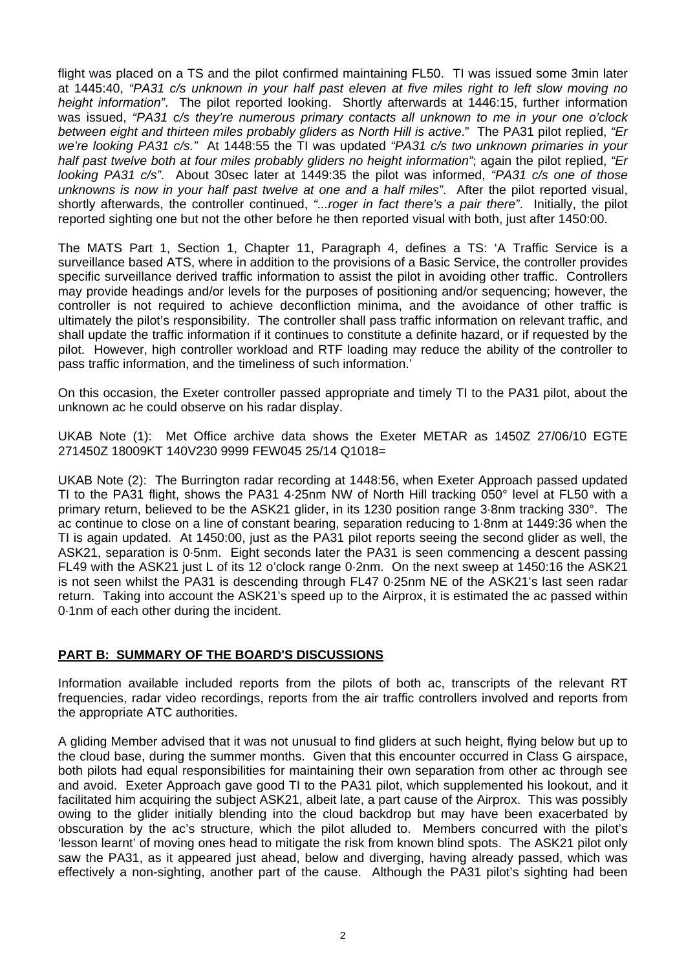flight was placed on a TS and the pilot confirmed maintaining FL50. TI was issued some 3min later at 1445:40, *"PA31 c/s unknown in your half past eleven at five miles right to left slow moving no height information"*. The pilot reported looking. Shortly afterwards at 1446:15, further information was issued, *"PA31 c/s they're numerous primary contacts all unknown to me in your one o'clock between eight and thirteen miles probably gliders as North Hill is active*." The PA31 pilot replied, *"Er we're looking PA31 c/s."* At 1448:55 the TI was updated *"PA31 c/s two unknown primaries in your half past twelve both at four miles probably gliders no height information"*; again the pilot replied, *"Er looking PA31 c/s"*. About 30sec later at 1449:35 the pilot was informed, *"PA31 c/s one of those unknowns is now in your half past twelve at one and a half miles"*. After the pilot reported visual, shortly afterwards, the controller continued, *"...roger in fact there's a pair there"*. Initially, the pilot reported sighting one but not the other before he then reported visual with both, just after 1450:00.

The MATS Part 1, Section 1, Chapter 11, Paragraph 4, defines a TS: 'A Traffic Service is a surveillance based ATS, where in addition to the provisions of a Basic Service, the controller provides specific surveillance derived traffic information to assist the pilot in avoiding other traffic. Controllers may provide headings and/or levels for the purposes of positioning and/or sequencing; however, the controller is not required to achieve deconfliction minima, and the avoidance of other traffic is ultimately the pilot's responsibility. The controller shall pass traffic information on relevant traffic, and shall update the traffic information if it continues to constitute a definite hazard, or if requested by the pilot. However, high controller workload and RTF loading may reduce the ability of the controller to pass traffic information, and the timeliness of such information.'

On this occasion, the Exeter controller passed appropriate and timely TI to the PA31 pilot, about the unknown ac he could observe on his radar display.

UKAB Note (1): Met Office archive data shows the Exeter METAR as 1450Z 27/06/10 EGTE 271450Z 18009KT 140V230 9999 FEW045 25/14 Q1018=

UKAB Note (2): The Burrington radar recording at 1448:56, when Exeter Approach passed updated TI to the PA31 flight, shows the PA31 4·25nm NW of North Hill tracking 050° level at FL50 with a primary return, believed to be the ASK21 glider, in its 1230 position range 3·8nm tracking 330°. The ac continue to close on a line of constant bearing, separation reducing to 1·8nm at 1449:36 when the TI is again updated. At 1450:00, just as the PA31 pilot reports seeing the second glider as well, the ASK21, separation is 0·5nm. Eight seconds later the PA31 is seen commencing a descent passing FL49 with the ASK21 just L of its 12 o'clock range 0·2nm. On the next sweep at 1450:16 the ASK21 is not seen whilst the PA31 is descending through FL47 0·25nm NE of the ASK21's last seen radar return. Taking into account the ASK21's speed up to the Airprox, it is estimated the ac passed within 0·1nm of each other during the incident.

## **PART B: SUMMARY OF THE BOARD'S DISCUSSIONS**

Information available included reports from the pilots of both ac, transcripts of the relevant RT frequencies, radar video recordings, reports from the air traffic controllers involved and reports from the appropriate ATC authorities.

A gliding Member advised that it was not unusual to find gliders at such height, flying below but up to the cloud base, during the summer months. Given that this encounter occurred in Class G airspace, both pilots had equal responsibilities for maintaining their own separation from other ac through see and avoid. Exeter Approach gave good TI to the PA31 pilot, which supplemented his lookout, and it facilitated him acquiring the subject ASK21, albeit late, a part cause of the Airprox. This was possibly owing to the glider initially blending into the cloud backdrop but may have been exacerbated by obscuration by the ac's structure, which the pilot alluded to. Members concurred with the pilot's 'lesson learnt' of moving ones head to mitigate the risk from known blind spots. The ASK21 pilot only saw the PA31, as it appeared just ahead, below and diverging, having already passed, which was effectively a non-sighting, another part of the cause. Although the PA31 pilot's sighting had been